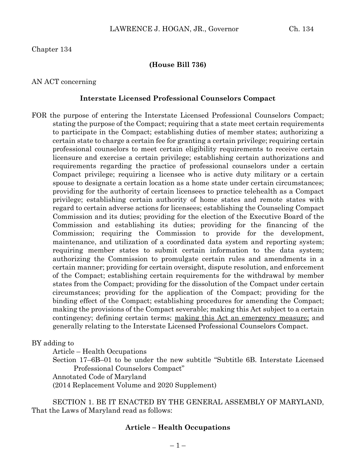Chapter 134

#### **(House Bill 736)**

#### AN ACT concerning

#### **Interstate Licensed Professional Counselors Compact**

FOR the purpose of entering the Interstate Licensed Professional Counselors Compact; stating the purpose of the Compact; requiring that a state meet certain requirements to participate in the Compact; establishing duties of member states; authorizing a certain state to charge a certain fee for granting a certain privilege; requiring certain professional counselors to meet certain eligibility requirements to receive certain licensure and exercise a certain privilege; establishing certain authorizations and requirements regarding the practice of professional counselors under a certain Compact privilege; requiring a licensee who is active duty military or a certain spouse to designate a certain location as a home state under certain circumstances; providing for the authority of certain licensees to practice telehealth as a Compact privilege; establishing certain authority of home states and remote states with regard to certain adverse actions for licensees; establishing the Counseling Compact Commission and its duties; providing for the election of the Executive Board of the Commission and establishing its duties; providing for the financing of the Commission; requiring the Commission to provide for the development, maintenance, and utilization of a coordinated data system and reporting system; requiring member states to submit certain information to the data system; authorizing the Commission to promulgate certain rules and amendments in a certain manner; providing for certain oversight, dispute resolution, and enforcement of the Compact; establishing certain requirements for the withdrawal by member states from the Compact; providing for the dissolution of the Compact under certain circumstances; providing for the application of the Compact; providing for the binding effect of the Compact; establishing procedures for amending the Compact; making the provisions of the Compact severable; making this Act subject to a certain contingency; defining certain terms; making this Act an emergency measure; and generally relating to the Interstate Licensed Professional Counselors Compact.

BY adding to

Article – Health Occupations

Section 17–6B–01 to be under the new subtitle "Subtitle 6B. Interstate Licensed Professional Counselors Compact"

Annotated Code of Maryland

(2014 Replacement Volume and 2020 Supplement)

SECTION 1. BE IT ENACTED BY THE GENERAL ASSEMBLY OF MARYLAND, That the Laws of Maryland read as follows:

### **Article – Health Occupations**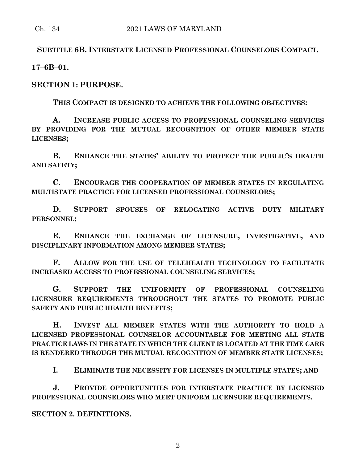**SUBTITLE 6B. INTERSTATE LICENSED PROFESSIONAL COUNSELORS COMPACT.**

**17–6B–01.**

**SECTION 1: PURPOSE.**

**THIS COMPACT IS DESIGNED TO ACHIEVE THE FOLLOWING OBJECTIVES:**

**A. INCREASE PUBLIC ACCESS TO PROFESSIONAL COUNSELING SERVICES BY PROVIDING FOR THE MUTUAL RECOGNITION OF OTHER MEMBER STATE LICENSES;**

**B. ENHANCE THE STATES' ABILITY TO PROTECT THE PUBLIC'S HEALTH AND SAFETY;**

**C. ENCOURAGE THE COOPERATION OF MEMBER STATES IN REGULATING MULTISTATE PRACTICE FOR LICENSED PROFESSIONAL COUNSELORS;**

**D. SUPPORT SPOUSES OF RELOCATING ACTIVE DUTY MILITARY PERSONNEL;**

**E. ENHANCE THE EXCHANGE OF LICENSURE, INVESTIGATIVE, AND DISCIPLINARY INFORMATION AMONG MEMBER STATES;**

**F. ALLOW FOR THE USE OF TELEHEALTH TECHNOLOGY TO FACILITATE INCREASED ACCESS TO PROFESSIONAL COUNSELING SERVICES;**

**G. SUPPORT THE UNIFORMITY OF PROFESSIONAL COUNSELING LICENSURE REQUIREMENTS THROUGHOUT THE STATES TO PROMOTE PUBLIC SAFETY AND PUBLIC HEALTH BENEFITS;**

**H. INVEST ALL MEMBER STATES WITH THE AUTHORITY TO HOLD A LICENSED PROFESSIONAL COUNSELOR ACCOUNTABLE FOR MEETING ALL STATE PRACTICE LAWS IN THE STATE IN WHICH THE CLIENT IS LOCATED AT THE TIME CARE IS RENDERED THROUGH THE MUTUAL RECOGNITION OF MEMBER STATE LICENSES;**

**I. ELIMINATE THE NECESSITY FOR LICENSES IN MULTIPLE STATES; AND**

**J. PROVIDE OPPORTUNITIES FOR INTERSTATE PRACTICE BY LICENSED PROFESSIONAL COUNSELORS WHO MEET UNIFORM LICENSURE REQUIREMENTS.**

**SECTION 2. DEFINITIONS.**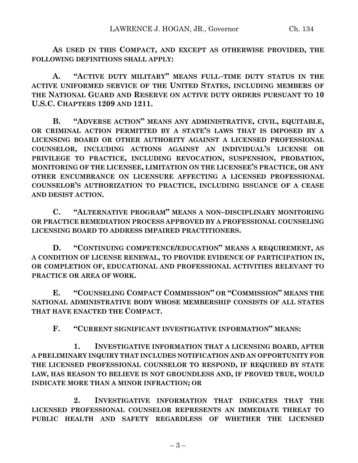**AS USED IN THIS COMPACT, AND EXCEPT AS OTHERWISE PROVIDED, THE FOLLOWING DEFINITIONS SHALL APPLY:**

**A. "ACTIVE DUTY MILITARY" MEANS FULL–TIME DUTY STATUS IN THE ACTIVE UNIFORMED SERVICE OF THE UNITED STATES, INCLUDING MEMBERS OF THE NATIONAL GUARD AND RESERVE ON ACTIVE DUTY ORDERS PURSUANT TO 10 U.S.C. CHAPTERS 1209 AND 1211.**

**B. "ADVERSE ACTION" MEANS ANY ADMINISTRATIVE, CIVIL, EQUITABLE, OR CRIMINAL ACTION PERMITTED BY A STATE'S LAWS THAT IS IMPOSED BY A LICENSING BOARD OR OTHER AUTHORITY AGAINST A LICENSED PROFESSIONAL COUNSELOR, INCLUDING ACTIONS AGAINST AN INDIVIDUAL'S LICENSE OR PRIVILEGE TO PRACTICE, INCLUDING REVOCATION, SUSPENSION, PROBATION, MONITORING OF THE LICENSEE, LIMITATION ON THE LICENSEE'S PRACTICE, OR ANY OTHER ENCUMBRANCE ON LICENSURE AFFECTING A LICENSED PROFESSIONAL COUNSELOR'S AUTHORIZATION TO PRACTICE, INCLUDING ISSUANCE OF A CEASE AND DESIST ACTION.**

**C. "ALTERNATIVE PROGRAM" MEANS A NON–DISCIPLINARY MONITORING OR PRACTICE REMEDIATION PROCESS APPROVED BY A PROFESSIONAL COUNSELING LICENSING BOARD TO ADDRESS IMPAIRED PRACTITIONERS.**

**D. "CONTINUING COMPETENCE/EDUCATION" MEANS A REQUIREMENT, AS A CONDITION OF LICENSE RENEWAL, TO PROVIDE EVIDENCE OF PARTICIPATION IN, OR COMPLETION OF, EDUCATIONAL AND PROFESSIONAL ACTIVITIES RELEVANT TO PRACTICE OR AREA OF WORK.**

**E. "COUNSELING COMPACT COMMISSION" OR "COMMISSION" MEANS THE NATIONAL ADMINISTRATIVE BODY WHOSE MEMBERSHIP CONSISTS OF ALL STATES THAT HAVE ENACTED THE COMPACT.**

**F. "CURRENT SIGNIFICANT INVESTIGATIVE INFORMATION" MEANS:**

**1. INVESTIGATIVE INFORMATION THAT A LICENSING BOARD, AFTER A PRELIMINARY INQUIRY THAT INCLUDES NOTIFICATION AND AN OPPORTUNITY FOR THE LICENSED PROFESSIONAL COUNSELOR TO RESPOND, IF REQUIRED BY STATE LAW, HAS REASON TO BELIEVE IS NOT GROUNDLESS AND, IF PROVED TRUE, WOULD INDICATE MORE THAN A MINOR INFRACTION; OR**

**2. INVESTIGATIVE INFORMATION THAT INDICATES THAT THE LICENSED PROFESSIONAL COUNSELOR REPRESENTS AN IMMEDIATE THREAT TO PUBLIC HEALTH AND SAFETY REGARDLESS OF WHETHER THE LICENSED**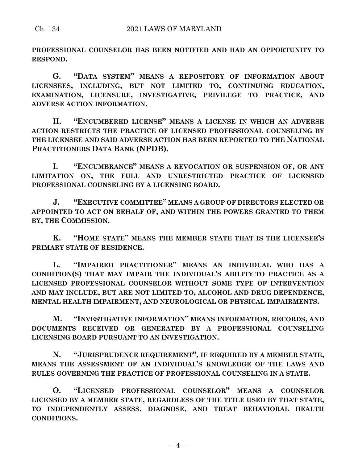**PROFESSIONAL COUNSELOR HAS BEEN NOTIFIED AND HAD AN OPPORTUNITY TO RESPOND.**

**G. "DATA SYSTEM" MEANS A REPOSITORY OF INFORMATION ABOUT LICENSEES, INCLUDING, BUT NOT LIMITED TO, CONTINUING EDUCATION, EXAMINATION, LICENSURE, INVESTIGATIVE, PRIVILEGE TO PRACTICE, AND ADVERSE ACTION INFORMATION.**

**H. "ENCUMBERED LICENSE" MEANS A LICENSE IN WHICH AN ADVERSE ACTION RESTRICTS THE PRACTICE OF LICENSED PROFESSIONAL COUNSELING BY THE LICENSEE AND SAID ADVERSE ACTION HAS BEEN REPORTED TO THE NATIONAL PRACTITIONERS DATA BANK (NPDB).**

**I. "ENCUMBRANCE" MEANS A REVOCATION OR SUSPENSION OF, OR ANY LIMITATION ON, THE FULL AND UNRESTRICTED PRACTICE OF LICENSED PROFESSIONAL COUNSELING BY A LICENSING BOARD.**

**J. "EXECUTIVE COMMITTEE" MEANS A GROUP OF DIRECTORS ELECTED OR APPOINTED TO ACT ON BEHALF OF, AND WITHIN THE POWERS GRANTED TO THEM BY, THE COMMISSION.**

**K. "HOME STATE" MEANS THE MEMBER STATE THAT IS THE LICENSEE'S PRIMARY STATE OF RESIDENCE.**

**L. "IMPAIRED PRACTITIONER" MEANS AN INDIVIDUAL WHO HAS A CONDITION(S) THAT MAY IMPAIR THE INDIVIDUAL'S ABILITY TO PRACTICE AS A LICENSED PROFESSIONAL COUNSELOR WITHOUT SOME TYPE OF INTERVENTION AND MAY INCLUDE, BUT ARE NOT LIMITED TO, ALCOHOL AND DRUG DEPENDENCE, MENTAL HEALTH IMPAIRMENT, AND NEUROLOGICAL OR PHYSICAL IMPAIRMENTS.**

**M. "INVESTIGATIVE INFORMATION" MEANS INFORMATION, RECORDS, AND DOCUMENTS RECEIVED OR GENERATED BY A PROFESSIONAL COUNSELING LICENSING BOARD PURSUANT TO AN INVESTIGATION.**

**N. "JURISPRUDENCE REQUIREMENT", IF REQUIRED BY A MEMBER STATE, MEANS THE ASSESSMENT OF AN INDIVIDUAL'S KNOWLEDGE OF THE LAWS AND RULES GOVERNING THE PRACTICE OF PROFESSIONAL COUNSELING IN A STATE.**

**O. "LICENSED PROFESSIONAL COUNSELOR" MEANS A COUNSELOR LICENSED BY A MEMBER STATE, REGARDLESS OF THE TITLE USED BY THAT STATE, TO INDEPENDENTLY ASSESS, DIAGNOSE, AND TREAT BEHAVIORAL HEALTH CONDITIONS.**

 $-4-$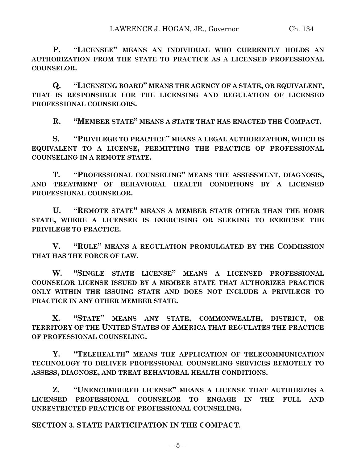**P. "LICENSEE" MEANS AN INDIVIDUAL WHO CURRENTLY HOLDS AN AUTHORIZATION FROM THE STATE TO PRACTICE AS A LICENSED PROFESSIONAL COUNSELOR.**

**Q. "LICENSING BOARD" MEANS THE AGENCY OF A STATE, OR EQUIVALENT, THAT IS RESPONSIBLE FOR THE LICENSING AND REGULATION OF LICENSED PROFESSIONAL COUNSELORS.**

**R. "MEMBER STATE" MEANS A STATE THAT HAS ENACTED THE COMPACT.**

**S. "PRIVILEGE TO PRACTICE" MEANS A LEGAL AUTHORIZATION, WHICH IS EQUIVALENT TO A LICENSE, PERMITTING THE PRACTICE OF PROFESSIONAL COUNSELING IN A REMOTE STATE.**

**T. "PROFESSIONAL COUNSELING" MEANS THE ASSESSMENT, DIAGNOSIS, AND TREATMENT OF BEHAVIORAL HEALTH CONDITIONS BY A LICENSED PROFESSIONAL COUNSELOR.**

**U. "REMOTE STATE" MEANS A MEMBER STATE OTHER THAN THE HOME STATE, WHERE A LICENSEE IS EXERCISING OR SEEKING TO EXERCISE THE PRIVILEGE TO PRACTICE.**

**V. "RULE" MEANS A REGULATION PROMULGATED BY THE COMMISSION THAT HAS THE FORCE OF LAW.**

**W. "SINGLE STATE LICENSE" MEANS A LICENSED PROFESSIONAL COUNSELOR LICENSE ISSUED BY A MEMBER STATE THAT AUTHORIZES PRACTICE ONLY WITHIN THE ISSUING STATE AND DOES NOT INCLUDE A PRIVILEGE TO PRACTICE IN ANY OTHER MEMBER STATE.**

**X. "STATE" MEANS ANY STATE, COMMONWEALTH, DISTRICT, OR TERRITORY OF THE UNITED STATES OF AMERICA THAT REGULATES THE PRACTICE OF PROFESSIONAL COUNSELING.**

**Y. "TELEHEALTH" MEANS THE APPLICATION OF TELECOMMUNICATION TECHNOLOGY TO DELIVER PROFESSIONAL COUNSELING SERVICES REMOTELY TO ASSESS, DIAGNOSE, AND TREAT BEHAVIORAL HEALTH CONDITIONS.**

**Z. "UNENCUMBERED LICENSE" MEANS A LICENSE THAT AUTHORIZES A LICENSED PROFESSIONAL COUNSELOR TO ENGAGE IN THE FULL AND UNRESTRICTED PRACTICE OF PROFESSIONAL COUNSELING.**

**SECTION 3. STATE PARTICIPATION IN THE COMPACT.**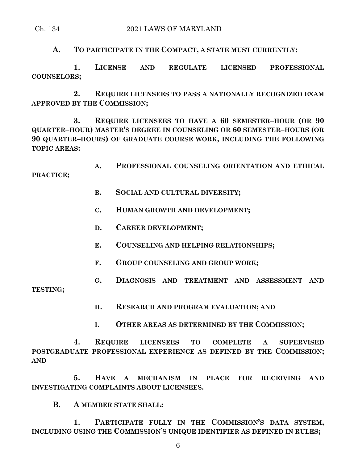### Ch. 134 2021 LAWS OF MARYLAND

**A. TO PARTICIPATE IN THE COMPACT, A STATE MUST CURRENTLY:**

**1. LICENSE AND REGULATE LICENSED PROFESSIONAL COUNSELORS;**

**2. REQUIRE LICENSEES TO PASS A NATIONALLY RECOGNIZED EXAM APPROVED BY THE COMMISSION;**

**3. REQUIRE LICENSEES TO HAVE A 60 SEMESTER–HOUR (OR 90 QUARTER–HOUR) MASTER'S DEGREE IN COUNSELING OR 60 SEMESTER–HOURS (OR 90 QUARTER–HOURS) OF GRADUATE COURSE WORK, INCLUDING THE FOLLOWING TOPIC AREAS:**

**A. PROFESSIONAL COUNSELING ORIENTATION AND ETHICAL** 

**PRACTICE;**

- **B. SOCIAL AND CULTURAL DIVERSITY;**
- **C. HUMAN GROWTH AND DEVELOPMENT;**
- **D. CAREER DEVELOPMENT;**
- **E. COUNSELING AND HELPING RELATIONSHIPS;**
- **F. GROUP COUNSELING AND GROUP WORK;**
- **G. DIAGNOSIS AND TREATMENT AND ASSESSMENT AND**

**TESTING;**

- **H. RESEARCH AND PROGRAM EVALUATION; AND**
- **I. OTHER AREAS AS DETERMINED BY THE COMMISSION;**

**4. REQUIRE LICENSEES TO COMPLETE A SUPERVISED POSTGRADUATE PROFESSIONAL EXPERIENCE AS DEFINED BY THE COMMISSION; AND**

**5. HAVE A MECHANISM IN PLACE FOR RECEIVING AND INVESTIGATING COMPLAINTS ABOUT LICENSEES.**

# **B. A MEMBER STATE SHALL:**

**1. PARTICIPATE FULLY IN THE COMMISSION'S DATA SYSTEM, INCLUDING USING THE COMMISSION'S UNIQUE IDENTIFIER AS DEFINED IN RULES;**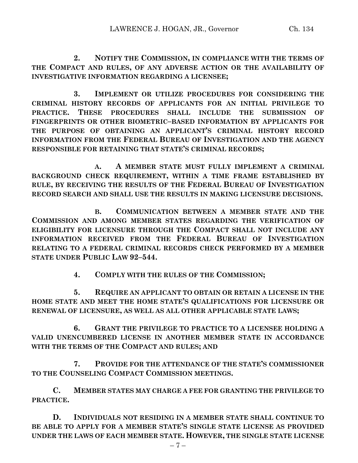**2. NOTIFY THE COMMISSION, IN COMPLIANCE WITH THE TERMS OF THE COMPACT AND RULES, OF ANY ADVERSE ACTION OR THE AVAILABILITY OF INVESTIGATIVE INFORMATION REGARDING A LICENSEE;**

**3. IMPLEMENT OR UTILIZE PROCEDURES FOR CONSIDERING THE CRIMINAL HISTORY RECORDS OF APPLICANTS FOR AN INITIAL PRIVILEGE TO PRACTICE. THESE PROCEDURES SHALL INCLUDE THE SUBMISSION OF FINGERPRINTS OR OTHER BIOMETRIC–BASED INFORMATION BY APPLICANTS FOR THE PURPOSE OF OBTAINING AN APPLICANT'S CRIMINAL HISTORY RECORD INFORMATION FROM THE FEDERAL BUREAU OF INVESTIGATION AND THE AGENCY RESPONSIBLE FOR RETAINING THAT STATE'S CRIMINAL RECORDS;**

**A. A MEMBER STATE MUST FULLY IMPLEMENT A CRIMINAL BACKGROUND CHECK REQUIREMENT, WITHIN A TIME FRAME ESTABLISHED BY RULE, BY RECEIVING THE RESULTS OF THE FEDERAL BUREAU OF INVESTIGATION RECORD SEARCH AND SHALL USE THE RESULTS IN MAKING LICENSURE DECISIONS.**

**B. COMMUNICATION BETWEEN A MEMBER STATE AND THE COMMISSION AND AMONG MEMBER STATES REGARDING THE VERIFICATION OF ELIGIBILITY FOR LICENSURE THROUGH THE COMPACT SHALL NOT INCLUDE ANY INFORMATION RECEIVED FROM THE FEDERAL BUREAU OF INVESTIGATION RELATING TO A FEDERAL CRIMINAL RECORDS CHECK PERFORMED BY A MEMBER STATE UNDER PUBLIC LAW 92–544.**

**4. COMPLY WITH THE RULES OF THE COMMISSION;**

**5. REQUIRE AN APPLICANT TO OBTAIN OR RETAIN A LICENSE IN THE HOME STATE AND MEET THE HOME STATE'S QUALIFICATIONS FOR LICENSURE OR RENEWAL OF LICENSURE, AS WELL AS ALL OTHER APPLICABLE STATE LAWS;**

**6. GRANT THE PRIVILEGE TO PRACTICE TO A LICENSEE HOLDING A VALID UNENCUMBERED LICENSE IN ANOTHER MEMBER STATE IN ACCORDANCE WITH THE TERMS OF THE COMPACT AND RULES; AND**

**7. PROVIDE FOR THE ATTENDANCE OF THE STATE'S COMMISSIONER TO THE COUNSELING COMPACT COMMISSION MEETINGS.**

**C. MEMBER STATES MAY CHARGE A FEE FOR GRANTING THE PRIVILEGE TO PRACTICE.**

**D. INDIVIDUALS NOT RESIDING IN A MEMBER STATE SHALL CONTINUE TO BE ABLE TO APPLY FOR A MEMBER STATE'S SINGLE STATE LICENSE AS PROVIDED UNDER THE LAWS OF EACH MEMBER STATE. HOWEVER, THE SINGLE STATE LICENSE**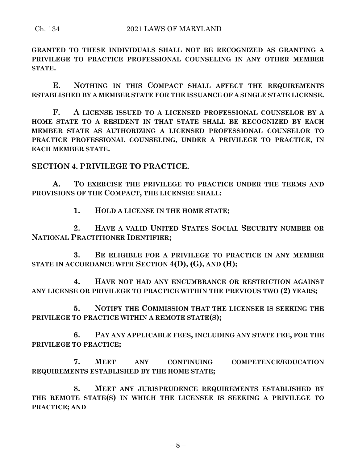**GRANTED TO THESE INDIVIDUALS SHALL NOT BE RECOGNIZED AS GRANTING A PRIVILEGE TO PRACTICE PROFESSIONAL COUNSELING IN ANY OTHER MEMBER STATE.**

**E. NOTHING IN THIS COMPACT SHALL AFFECT THE REQUIREMENTS ESTABLISHED BY A MEMBER STATE FOR THE ISSUANCE OF A SINGLE STATE LICENSE.**

**F. A LICENSE ISSUED TO A LICENSED PROFESSIONAL COUNSELOR BY A HOME STATE TO A RESIDENT IN THAT STATE SHALL BE RECOGNIZED BY EACH MEMBER STATE AS AUTHORIZING A LICENSED PROFESSIONAL COUNSELOR TO PRACTICE PROFESSIONAL COUNSELING, UNDER A PRIVILEGE TO PRACTICE, IN EACH MEMBER STATE.**

**SECTION 4. PRIVILEGE TO PRACTICE.**

**A. TO EXERCISE THE PRIVILEGE TO PRACTICE UNDER THE TERMS AND PROVISIONS OF THE COMPACT, THE LICENSEE SHALL:**

**1. HOLD A LICENSE IN THE HOME STATE;**

**2. HAVE A VALID UNITED STATES SOCIAL SECURITY NUMBER OR NATIONAL PRACTITIONER IDENTIFIER;**

**3. BE ELIGIBLE FOR A PRIVILEGE TO PRACTICE IN ANY MEMBER STATE IN ACCORDANCE WITH SECTION 4(D), (G), AND (H);**

**4. HAVE NOT HAD ANY ENCUMBRANCE OR RESTRICTION AGAINST ANY LICENSE OR PRIVILEGE TO PRACTICE WITHIN THE PREVIOUS TWO (2) YEARS;**

**5. NOTIFY THE COMMISSION THAT THE LICENSEE IS SEEKING THE PRIVILEGE TO PRACTICE WITHIN A REMOTE STATE(S);**

**6. PAY ANY APPLICABLE FEES, INCLUDING ANY STATE FEE, FOR THE PRIVILEGE TO PRACTICE;**

**7. MEET ANY CONTINUING COMPETENCE/EDUCATION REQUIREMENTS ESTABLISHED BY THE HOME STATE;**

**8. MEET ANY JURISPRUDENCE REQUIREMENTS ESTABLISHED BY THE REMOTE STATE(S) IN WHICH THE LICENSEE IS SEEKING A PRIVILEGE TO PRACTICE; AND**

 $-8-$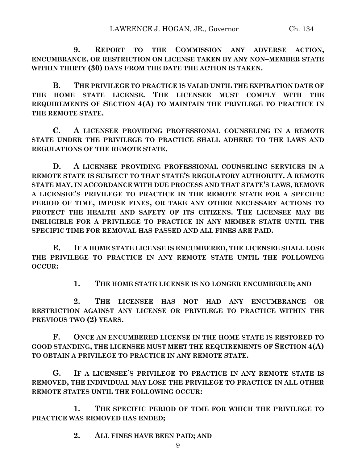**9. REPORT TO THE COMMISSION ANY ADVERSE ACTION, ENCUMBRANCE, OR RESTRICTION ON LICENSE TAKEN BY ANY NON–MEMBER STATE WITHIN THIRTY (30) DAYS FROM THE DATE THE ACTION IS TAKEN.**

**B. THE PRIVILEGE TO PRACTICE IS VALID UNTIL THE EXPIRATION DATE OF THE HOME STATE LICENSE. THE LICENSEE MUST COMPLY WITH THE REQUIREMENTS OF SECTION 4(A) TO MAINTAIN THE PRIVILEGE TO PRACTICE IN THE REMOTE STATE.**

**C. A LICENSEE PROVIDING PROFESSIONAL COUNSELING IN A REMOTE STATE UNDER THE PRIVILEGE TO PRACTICE SHALL ADHERE TO THE LAWS AND REGULATIONS OF THE REMOTE STATE.**

**D. A LICENSEE PROVIDING PROFESSIONAL COUNSELING SERVICES IN A REMOTE STATE IS SUBJECT TO THAT STATE'S REGULATORY AUTHORITY. A REMOTE STATE MAY, IN ACCORDANCE WITH DUE PROCESS AND THAT STATE'S LAWS, REMOVE A LICENSEE'S PRIVILEGE TO PRACTICE IN THE REMOTE STATE FOR A SPECIFIC PERIOD OF TIME, IMPOSE FINES, OR TAKE ANY OTHER NECESSARY ACTIONS TO PROTECT THE HEALTH AND SAFETY OF ITS CITIZENS. THE LICENSEE MAY BE INELIGIBLE FOR A PRIVILEGE TO PRACTICE IN ANY MEMBER STATE UNTIL THE SPECIFIC TIME FOR REMOVAL HAS PASSED AND ALL FINES ARE PAID.**

**E. IF A HOME STATE LICENSE IS ENCUMBERED, THE LICENSEE SHALL LOSE THE PRIVILEGE TO PRACTICE IN ANY REMOTE STATE UNTIL THE FOLLOWING OCCUR:**

**1. THE HOME STATE LICENSE IS NO LONGER ENCUMBERED; AND** 

**2. THE LICENSEE HAS NOT HAD ANY ENCUMBRANCE OR RESTRICTION AGAINST ANY LICENSE OR PRIVILEGE TO PRACTICE WITHIN THE PREVIOUS TWO (2) YEARS.**

**F. ONCE AN ENCUMBERED LICENSE IN THE HOME STATE IS RESTORED TO GOOD STANDING, THE LICENSEE MUST MEET THE REQUIREMENTS OF SECTION 4(A) TO OBTAIN A PRIVILEGE TO PRACTICE IN ANY REMOTE STATE.**

**G. IF A LICENSEE'S PRIVILEGE TO PRACTICE IN ANY REMOTE STATE IS REMOVED, THE INDIVIDUAL MAY LOSE THE PRIVILEGE TO PRACTICE IN ALL OTHER REMOTE STATES UNTIL THE FOLLOWING OCCUR:**

**1. THE SPECIFIC PERIOD OF TIME FOR WHICH THE PRIVILEGE TO PRACTICE WAS REMOVED HAS ENDED;**

**2. ALL FINES HAVE BEEN PAID; AND**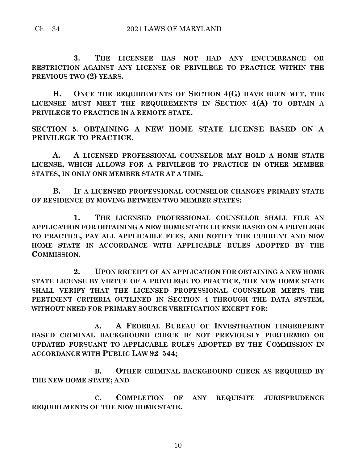**3. THE LICENSEE HAS NOT HAD ANY ENCUMBRANCE OR RESTRICTION AGAINST ANY LICENSE OR PRIVILEGE TO PRACTICE WITHIN THE PREVIOUS TWO (2) YEARS.**

**H. ONCE THE REQUIREMENTS OF SECTION 4(G) HAVE BEEN MET, THE LICENSEE MUST MEET THE REQUIREMENTS IN SECTION 4(A) TO OBTAIN A PRIVILEGE TO PRACTICE IN A REMOTE STATE.**

**SECTION 5. OBTAINING A NEW HOME STATE LICENSE BASED ON A PRIVILEGE TO PRACTICE.** 

**A. A LICENSED PROFESSIONAL COUNSELOR MAY HOLD A HOME STATE LICENSE, WHICH ALLOWS FOR A PRIVILEGE TO PRACTICE IN OTHER MEMBER STATES, IN ONLY ONE MEMBER STATE AT A TIME.**

**B. IF A LICENSED PROFESSIONAL COUNSELOR CHANGES PRIMARY STATE OF RESIDENCE BY MOVING BETWEEN TWO MEMBER STATES:**

**1. THE LICENSED PROFESSIONAL COUNSELOR SHALL FILE AN APPLICATION FOR OBTAINING A NEW HOME STATE LICENSE BASED ON A PRIVILEGE TO PRACTICE, PAY ALL APPLICABLE FEES, AND NOTIFY THE CURRENT AND NEW HOME STATE IN ACCORDANCE WITH APPLICABLE RULES ADOPTED BY THE COMMISSION.**

**2. UPON RECEIPT OF AN APPLICATION FOR OBTAINING A NEW HOME STATE LICENSE BY VIRTUE OF A PRIVILEGE TO PRACTICE, THE NEW HOME STATE SHALL VERIFY THAT THE LICENSED PROFESSIONAL COUNSELOR MEETS THE PERTINENT CRITERIA OUTLINED IN SECTION 4 THROUGH THE DATA SYSTEM, WITHOUT NEED FOR PRIMARY SOURCE VERIFICATION EXCEPT FOR:**

**A. A FEDERAL BUREAU OF INVESTIGATION FINGERPRINT BASED CRIMINAL BACKGROUND CHECK IF NOT PREVIOUSLY PERFORMED OR UPDATED PURSUANT TO APPLICABLE RULES ADOPTED BY THE COMMISSION IN ACCORDANCE WITH PUBLIC LAW 92–544;**

**B. OTHER CRIMINAL BACKGROUND CHECK AS REQUIRED BY THE NEW HOME STATE; AND**

**C. COMPLETION OF ANY REQUISITE JURISPRUDENCE REQUIREMENTS OF THE NEW HOME STATE.**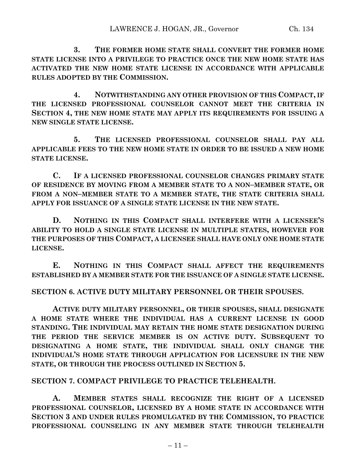**3. THE FORMER HOME STATE SHALL CONVERT THE FORMER HOME STATE LICENSE INTO A PRIVILEGE TO PRACTICE ONCE THE NEW HOME STATE HAS ACTIVATED THE NEW HOME STATE LICENSE IN ACCORDANCE WITH APPLICABLE RULES ADOPTED BY THE COMMISSION.**

**4. NOTWITHSTANDING ANY OTHER PROVISION OF THIS COMPACT, IF THE LICENSED PROFESSIONAL COUNSELOR CANNOT MEET THE CRITERIA IN SECTION 4, THE NEW HOME STATE MAY APPLY ITS REQUIREMENTS FOR ISSUING A NEW SINGLE STATE LICENSE.**

**5. THE LICENSED PROFESSIONAL COUNSELOR SHALL PAY ALL APPLICABLE FEES TO THE NEW HOME STATE IN ORDER TO BE ISSUED A NEW HOME STATE LICENSE.**

**C. IF A LICENSED PROFESSIONAL COUNSELOR CHANGES PRIMARY STATE OF RESIDENCE BY MOVING FROM A MEMBER STATE TO A NON–MEMBER STATE, OR FROM A NON–MEMBER STATE TO A MEMBER STATE, THE STATE CRITERIA SHALL APPLY FOR ISSUANCE OF A SINGLE STATE LICENSE IN THE NEW STATE.**

**D. NOTHING IN THIS COMPACT SHALL INTERFERE WITH A LICENSEE'S ABILITY TO HOLD A SINGLE STATE LICENSE IN MULTIPLE STATES, HOWEVER FOR THE PURPOSES OF THIS COMPACT, A LICENSEE SHALL HAVE ONLY ONE HOME STATE LICENSE.**

**E. NOTHING IN THIS COMPACT SHALL AFFECT THE REQUIREMENTS ESTABLISHED BY A MEMBER STATE FOR THE ISSUANCE OF A SINGLE STATE LICENSE.**

### **SECTION 6. ACTIVE DUTY MILITARY PERSONNEL OR THEIR SPOUSES.**

**ACTIVE DUTY MILITARY PERSONNEL, OR THEIR SPOUSES, SHALL DESIGNATE A HOME STATE WHERE THE INDIVIDUAL HAS A CURRENT LICENSE IN GOOD STANDING. THE INDIVIDUAL MAY RETAIN THE HOME STATE DESIGNATION DURING THE PERIOD THE SERVICE MEMBER IS ON ACTIVE DUTY. SUBSEQUENT TO DESIGNATING A HOME STATE, THE INDIVIDUAL SHALL ONLY CHANGE THE INDIVIDUAL'S HOME STATE THROUGH APPLICATION FOR LICENSURE IN THE NEW STATE, OR THROUGH THE PROCESS OUTLINED IN SECTION 5.**

### **SECTION 7. COMPACT PRIVILEGE TO PRACTICE TELEHEALTH.**

**A. MEMBER STATES SHALL RECOGNIZE THE RIGHT OF A LICENSED PROFESSIONAL COUNSELOR, LICENSED BY A HOME STATE IN ACCORDANCE WITH SECTION 3 AND UNDER RULES PROMULGATED BY THE COMMISSION, TO PRACTICE PROFESSIONAL COUNSELING IN ANY MEMBER STATE THROUGH TELEHEALTH**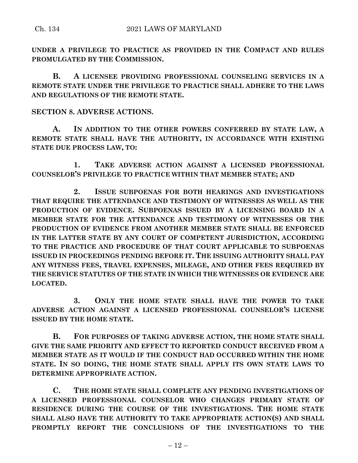**UNDER A PRIVILEGE TO PRACTICE AS PROVIDED IN THE COMPACT AND RULES PROMULGATED BY THE COMMISSION.**

**B. A LICENSEE PROVIDING PROFESSIONAL COUNSELING SERVICES IN A REMOTE STATE UNDER THE PRIVILEGE TO PRACTICE SHALL ADHERE TO THE LAWS AND REGULATIONS OF THE REMOTE STATE.**

## **SECTION 8. ADVERSE ACTIONS.**

**A. IN ADDITION TO THE OTHER POWERS CONFERRED BY STATE LAW, A REMOTE STATE SHALL HAVE THE AUTHORITY, IN ACCORDANCE WITH EXISTING STATE DUE PROCESS LAW, TO:**

**1. TAKE ADVERSE ACTION AGAINST A LICENSED PROFESSIONAL COUNSELOR'S PRIVILEGE TO PRACTICE WITHIN THAT MEMBER STATE; AND**

**2. ISSUE SUBPOENAS FOR BOTH HEARINGS AND INVESTIGATIONS THAT REQUIRE THE ATTENDANCE AND TESTIMONY OF WITNESSES AS WELL AS THE PRODUCTION OF EVIDENCE. SUBPOENAS ISSUED BY A LICENSING BOARD IN A MEMBER STATE FOR THE ATTENDANCE AND TESTIMONY OF WITNESSES OR THE PRODUCTION OF EVIDENCE FROM ANOTHER MEMBER STATE SHALL BE ENFORCED IN THE LATTER STATE BY ANY COURT OF COMPETENT JURISDICTION, ACCORDING TO THE PRACTICE AND PROCEDURE OF THAT COURT APPLICABLE TO SUBPOENAS ISSUED IN PROCEEDINGS PENDING BEFORE IT. THE ISSUING AUTHORITY SHALL PAY ANY WITNESS FEES, TRAVEL EXPENSES, MILEAGE, AND OTHER FEES REQUIRED BY THE SERVICE STATUTES OF THE STATE IN WHICH THE WITNESSES OR EVIDENCE ARE LOCATED.**

**3. ONLY THE HOME STATE SHALL HAVE THE POWER TO TAKE ADVERSE ACTION AGAINST A LICENSED PROFESSIONAL COUNSELOR'S LICENSE ISSUED BY THE HOME STATE.**

**B. FOR PURPOSES OF TAKING ADVERSE ACTION, THE HOME STATE SHALL GIVE THE SAME PRIORITY AND EFFECT TO REPORTED CONDUCT RECEIVED FROM A MEMBER STATE AS IT WOULD IF THE CONDUCT HAD OCCURRED WITHIN THE HOME STATE. IN SO DOING, THE HOME STATE SHALL APPLY ITS OWN STATE LAWS TO DETERMINE APPROPRIATE ACTION.**

**C. THE HOME STATE SHALL COMPLETE ANY PENDING INVESTIGATIONS OF A LICENSED PROFESSIONAL COUNSELOR WHO CHANGES PRIMARY STATE OF RESIDENCE DURING THE COURSE OF THE INVESTIGATIONS. THE HOME STATE SHALL ALSO HAVE THE AUTHORITY TO TAKE APPROPRIATE ACTION(S) AND SHALL PROMPTLY REPORT THE CONCLUSIONS OF THE INVESTIGATIONS TO THE**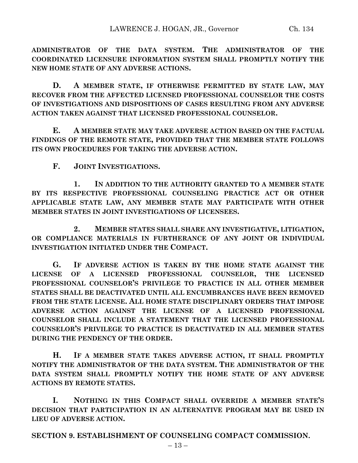**ADMINISTRATOR OF THE DATA SYSTEM. THE ADMINISTRATOR OF THE COORDINATED LICENSURE INFORMATION SYSTEM SHALL PROMPTLY NOTIFY THE NEW HOME STATE OF ANY ADVERSE ACTIONS.**

**D. A MEMBER STATE, IF OTHERWISE PERMITTED BY STATE LAW, MAY RECOVER FROM THE AFFECTED LICENSED PROFESSIONAL COUNSELOR THE COSTS OF INVESTIGATIONS AND DISPOSITIONS OF CASES RESULTING FROM ANY ADVERSE ACTION TAKEN AGAINST THAT LICENSED PROFESSIONAL COUNSELOR.**

**E. A MEMBER STATE MAY TAKE ADVERSE ACTION BASED ON THE FACTUAL FINDINGS OF THE REMOTE STATE, PROVIDED THAT THE MEMBER STATE FOLLOWS ITS OWN PROCEDURES FOR TAKING THE ADVERSE ACTION.**

**F. JOINT INVESTIGATIONS.**

**1. IN ADDITION TO THE AUTHORITY GRANTED TO A MEMBER STATE BY ITS RESPECTIVE PROFESSIONAL COUNSELING PRACTICE ACT OR OTHER APPLICABLE STATE LAW, ANY MEMBER STATE MAY PARTICIPATE WITH OTHER MEMBER STATES IN JOINT INVESTIGATIONS OF LICENSEES.**

**2. MEMBER STATES SHALL SHARE ANY INVESTIGATIVE, LITIGATION, OR COMPLIANCE MATERIALS IN FURTHERANCE OF ANY JOINT OR INDIVIDUAL INVESTIGATION INITIATED UNDER THE COMPACT.**

**G. IF ADVERSE ACTION IS TAKEN BY THE HOME STATE AGAINST THE LICENSE OF A LICENSED PROFESSIONAL COUNSELOR, THE LICENSED PROFESSIONAL COUNSELOR'S PRIVILEGE TO PRACTICE IN ALL OTHER MEMBER STATES SHALL BE DEACTIVATED UNTIL ALL ENCUMBRANCES HAVE BEEN REMOVED FROM THE STATE LICENSE. ALL HOME STATE DISCIPLINARY ORDERS THAT IMPOSE ADVERSE ACTION AGAINST THE LICENSE OF A LICENSED PROFESSIONAL COUNSELOR SHALL INCLUDE A STATEMENT THAT THE LICENSED PROFESSIONAL COUNSELOR'S PRIVILEGE TO PRACTICE IS DEACTIVATED IN ALL MEMBER STATES DURING THE PENDENCY OF THE ORDER.**

**H. IF A MEMBER STATE TAKES ADVERSE ACTION, IT SHALL PROMPTLY NOTIFY THE ADMINISTRATOR OF THE DATA SYSTEM. THE ADMINISTRATOR OF THE DATA SYSTEM SHALL PROMPTLY NOTIFY THE HOME STATE OF ANY ADVERSE ACTIONS BY REMOTE STATES.**

**I. NOTHING IN THIS COMPACT SHALL OVERRIDE A MEMBER STATE'S DECISION THAT PARTICIPATION IN AN ALTERNATIVE PROGRAM MAY BE USED IN LIEU OF ADVERSE ACTION.**

**SECTION 9. ESTABLISHMENT OF COUNSELING COMPACT COMMISSION.**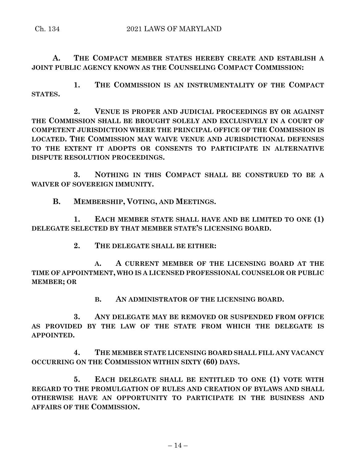**A. THE COMPACT MEMBER STATES HEREBY CREATE AND ESTABLISH A JOINT PUBLIC AGENCY KNOWN AS THE COUNSELING COMPACT COMMISSION:**

**1. THE COMMISSION IS AN INSTRUMENTALITY OF THE COMPACT STATES.**

**2. VENUE IS PROPER AND JUDICIAL PROCEEDINGS BY OR AGAINST THE COMMISSION SHALL BE BROUGHT SOLELY AND EXCLUSIVELY IN A COURT OF COMPETENT JURISDICTION WHERE THE PRINCIPAL OFFICE OF THE COMMISSION IS LOCATED. THE COMMISSION MAY WAIVE VENUE AND JURISDICTIONAL DEFENSES TO THE EXTENT IT ADOPTS OR CONSENTS TO PARTICIPATE IN ALTERNATIVE DISPUTE RESOLUTION PROCEEDINGS.**

**3. NOTHING IN THIS COMPACT SHALL BE CONSTRUED TO BE A WAIVER OF SOVEREIGN IMMUNITY.**

**B. MEMBERSHIP, VOTING, AND MEETINGS.**

**1. EACH MEMBER STATE SHALL HAVE AND BE LIMITED TO ONE (1) DELEGATE SELECTED BY THAT MEMBER STATE'S LICENSING BOARD.**

**2. THE DELEGATE SHALL BE EITHER:**

**A. A CURRENT MEMBER OF THE LICENSING BOARD AT THE TIME OF APPOINTMENT, WHO IS A LICENSED PROFESSIONAL COUNSELOR OR PUBLIC MEMBER; OR**

**B. AN ADMINISTRATOR OF THE LICENSING BOARD.**

**3. ANY DELEGATE MAY BE REMOVED OR SUSPENDED FROM OFFICE AS PROVIDED BY THE LAW OF THE STATE FROM WHICH THE DELEGATE IS APPOINTED.**

**4. THE MEMBER STATE LICENSING BOARD SHALL FILL ANY VACANCY OCCURRING ON THE COMMISSION WITHIN SIXTY (60) DAYS.**

**5. EACH DELEGATE SHALL BE ENTITLED TO ONE (1) VOTE WITH REGARD TO THE PROMULGATION OF RULES AND CREATION OF BYLAWS AND SHALL OTHERWISE HAVE AN OPPORTUNITY TO PARTICIPATE IN THE BUSINESS AND AFFAIRS OF THE COMMISSION.**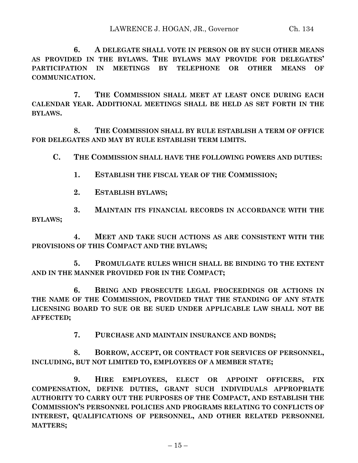**6. A DELEGATE SHALL VOTE IN PERSON OR BY SUCH OTHER MEANS AS PROVIDED IN THE BYLAWS. THE BYLAWS MAY PROVIDE FOR DELEGATES' PARTICIPATION IN MEETINGS BY TELEPHONE OR OTHER MEANS OF COMMUNICATION.**

**7. THE COMMISSION SHALL MEET AT LEAST ONCE DURING EACH CALENDAR YEAR. ADDITIONAL MEETINGS SHALL BE HELD AS SET FORTH IN THE BYLAWS.**

**8. THE COMMISSION SHALL BY RULE ESTABLISH A TERM OF OFFICE FOR DELEGATES AND MAY BY RULE ESTABLISH TERM LIMITS.**

**C. THE COMMISSION SHALL HAVE THE FOLLOWING POWERS AND DUTIES:**

- **1. ESTABLISH THE FISCAL YEAR OF THE COMMISSION;**
- **2. ESTABLISH BYLAWS;**

**3. MAINTAIN ITS FINANCIAL RECORDS IN ACCORDANCE WITH THE BYLAWS;**

**4. MEET AND TAKE SUCH ACTIONS AS ARE CONSISTENT WITH THE PROVISIONS OF THIS COMPACT AND THE BYLAWS;**

**5. PROMULGATE RULES WHICH SHALL BE BINDING TO THE EXTENT AND IN THE MANNER PROVIDED FOR IN THE COMPACT;**

**6. BRING AND PROSECUTE LEGAL PROCEEDINGS OR ACTIONS IN THE NAME OF THE COMMISSION, PROVIDED THAT THE STANDING OF ANY STATE LICENSING BOARD TO SUE OR BE SUED UNDER APPLICABLE LAW SHALL NOT BE AFFECTED;**

**7. PURCHASE AND MAINTAIN INSURANCE AND BONDS;**

**8. BORROW, ACCEPT, OR CONTRACT FOR SERVICES OF PERSONNEL, INCLUDING, BUT NOT LIMITED TO, EMPLOYEES OF A MEMBER STATE;**

**9. HIRE EMPLOYEES, ELECT OR APPOINT OFFICERS, FIX COMPENSATION, DEFINE DUTIES, GRANT SUCH INDIVIDUALS APPROPRIATE AUTHORITY TO CARRY OUT THE PURPOSES OF THE COMPACT, AND ESTABLISH THE COMMISSION'S PERSONNEL POLICIES AND PROGRAMS RELATING TO CONFLICTS OF INTEREST, QUALIFICATIONS OF PERSONNEL, AND OTHER RELATED PERSONNEL MATTERS;**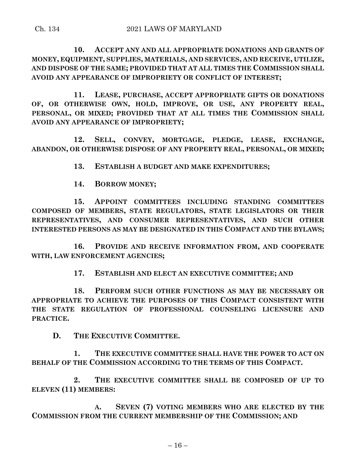**10. ACCEPT ANY AND ALL APPROPRIATE DONATIONS AND GRANTS OF MONEY, EQUIPMENT, SUPPLIES, MATERIALS, AND SERVICES, AND RECEIVE, UTILIZE, AND DISPOSE OF THE SAME; PROVIDED THAT AT ALL TIMES THE COMMISSION SHALL AVOID ANY APPEARANCE OF IMPROPRIETY OR CONFLICT OF INTEREST;**

**11. LEASE, PURCHASE, ACCEPT APPROPRIATE GIFTS OR DONATIONS OF, OR OTHERWISE OWN, HOLD, IMPROVE, OR USE, ANY PROPERTY REAL, PERSONAL, OR MIXED; PROVIDED THAT AT ALL TIMES THE COMMISSION SHALL AVOID ANY APPEARANCE OF IMPROPRIETY;**

**12. SELL, CONVEY, MORTGAGE, PLEDGE, LEASE, EXCHANGE, ABANDON, OR OTHERWISE DISPOSE OF ANY PROPERTY REAL, PERSONAL, OR MIXED;**

**13. ESTABLISH A BUDGET AND MAKE EXPENDITURES;**

**14. BORROW MONEY;**

**15. APPOINT COMMITTEES INCLUDING STANDING COMMITTEES COMPOSED OF MEMBERS, STATE REGULATORS, STATE LEGISLATORS OR THEIR REPRESENTATIVES, AND CONSUMER REPRESENTATIVES, AND SUCH OTHER INTERESTED PERSONS AS MAY BE DESIGNATED IN THIS COMPACT AND THE BYLAWS;**

**16. PROVIDE AND RECEIVE INFORMATION FROM, AND COOPERATE WITH, LAW ENFORCEMENT AGENCIES;**

**17. ESTABLISH AND ELECT AN EXECUTIVE COMMITTEE; AND**

**18. PERFORM SUCH OTHER FUNCTIONS AS MAY BE NECESSARY OR APPROPRIATE TO ACHIEVE THE PURPOSES OF THIS COMPACT CONSISTENT WITH THE STATE REGULATION OF PROFESSIONAL COUNSELING LICENSURE AND PRACTICE.**

**D. THE EXECUTIVE COMMITTEE.**

**1. THE EXECUTIVE COMMITTEE SHALL HAVE THE POWER TO ACT ON BEHALF OF THE COMMISSION ACCORDING TO THE TERMS OF THIS COMPACT.**

**2. THE EXECUTIVE COMMITTEE SHALL BE COMPOSED OF UP TO ELEVEN (11) MEMBERS:**

**A. SEVEN (7) VOTING MEMBERS WHO ARE ELECTED BY THE COMMISSION FROM THE CURRENT MEMBERSHIP OF THE COMMISSION; AND**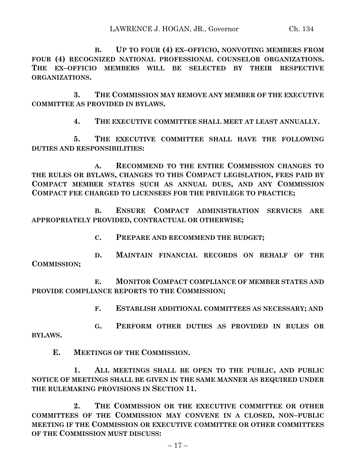**B. UP TO FOUR (4) EX–OFFICIO, NONVOTING MEMBERS FROM FOUR (4) RECOGNIZED NATIONAL PROFESSIONAL COUNSELOR ORGANIZATIONS. THE EX–OFFICIO MEMBERS WILL BE SELECTED BY THEIR RESPECTIVE ORGANIZATIONS.**

**3. THE COMMISSION MAY REMOVE ANY MEMBER OF THE EXECUTIVE COMMITTEE AS PROVIDED IN BYLAWS.**

**4. THE EXECUTIVE COMMITTEE SHALL MEET AT LEAST ANNUALLY.**

**5. THE EXECUTIVE COMMITTEE SHALL HAVE THE FOLLOWING DUTIES AND RESPONSIBILITIES:**

**A. RECOMMEND TO THE ENTIRE COMMISSION CHANGES TO THE RULES OR BYLAWS, CHANGES TO THIS COMPACT LEGISLATION, FEES PAID BY COMPACT MEMBER STATES SUCH AS ANNUAL DUES, AND ANY COMMISSION COMPACT FEE CHARGED TO LICENSEES FOR THE PRIVILEGE TO PRACTICE;**

**B. ENSURE COMPACT ADMINISTRATION SERVICES ARE APPROPRIATELY PROVIDED, CONTRACTUAL OR OTHERWISE;**

**C. PREPARE AND RECOMMEND THE BUDGET;**

**D. MAINTAIN FINANCIAL RECORDS ON BEHALF OF THE COMMISSION;**

**E. MONITOR COMPACT COMPLIANCE OF MEMBER STATES AND PROVIDE COMPLIANCE REPORTS TO THE COMMISSION;**

**F. ESTABLISH ADDITIONAL COMMITTEES AS NECESSARY; AND**

**G. PERFORM OTHER DUTIES AS PROVIDED IN RULES OR BYLAWS.**

**E. MEETINGS OF THE COMMISSION.**

**1. ALL MEETINGS SHALL BE OPEN TO THE PUBLIC, AND PUBLIC NOTICE OF MEETINGS SHALL BE GIVEN IN THE SAME MANNER AS REQUIRED UNDER THE RULEMAKING PROVISIONS IN SECTION 11.**

**2. THE COMMISSION OR THE EXECUTIVE COMMITTEE OR OTHER COMMITTEES OF THE COMMISSION MAY CONVENE IN A CLOSED, NON–PUBLIC MEETING IF THE COMMISSION OR EXECUTIVE COMMITTEE OR OTHER COMMITTEES OF THE COMMISSION MUST DISCUSS:**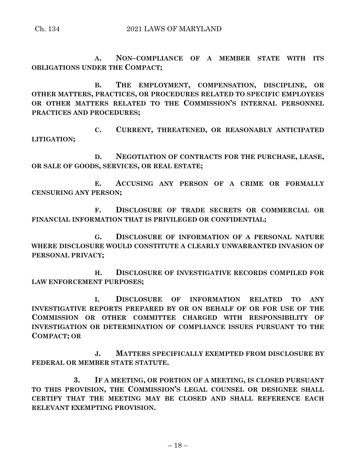**A. NON–COMPLIANCE OF A MEMBER STATE WITH ITS OBLIGATIONS UNDER THE COMPACT;**

**B. THE EMPLOYMENT, COMPENSATION, DISCIPLINE, OR OTHER MATTERS, PRACTICES, OR PROCEDURES RELATED TO SPECIFIC EMPLOYEES OR OTHER MATTERS RELATED TO THE COMMISSION'S INTERNAL PERSONNEL PRACTICES AND PROCEDURES;**

**C. CURRENT, THREATENED, OR REASONABLY ANTICIPATED LITIGATION;**

**D. NEGOTIATION OF CONTRACTS FOR THE PURCHASE, LEASE, OR SALE OF GOODS, SERVICES, OR REAL ESTATE;**

**E. ACCUSING ANY PERSON OF A CRIME OR FORMALLY CENSURING ANY PERSON;**

**F. DISCLOSURE OF TRADE SECRETS OR COMMERCIAL OR FINANCIAL INFORMATION THAT IS PRIVILEGED OR CONFIDENTIAL;**

**G. DISCLOSURE OF INFORMATION OF A PERSONAL NATURE WHERE DISCLOSURE WOULD CONSTITUTE A CLEARLY UNWARRANTED INVASION OF PERSONAL PRIVACY;**

**H. DISCLOSURE OF INVESTIGATIVE RECORDS COMPILED FOR LAW ENFORCEMENT PURPOSES;**

**I. DISCLOSURE OF INFORMATION RELATED TO ANY INVESTIGATIVE REPORTS PREPARED BY OR ON BEHALF OF OR FOR USE OF THE COMMISSION OR OTHER COMMITTEE CHARGED WITH RESPONSIBILITY OF INVESTIGATION OR DETERMINATION OF COMPLIANCE ISSUES PURSUANT TO THE COMPACT; OR**

**J. MATTERS SPECIFICALLY EXEMPTED FROM DISCLOSURE BY FEDERAL OR MEMBER STATE STATUTE.**

**3. IF A MEETING, OR PORTION OF A MEETING, IS CLOSED PURSUANT TO THIS PROVISION, THE COMMISSION'S LEGAL COUNSEL OR DESIGNEE SHALL CERTIFY THAT THE MEETING MAY BE CLOSED AND SHALL REFERENCE EACH RELEVANT EXEMPTING PROVISION.**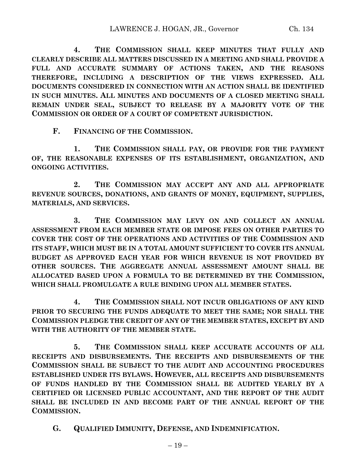**4. THE COMMISSION SHALL KEEP MINUTES THAT FULLY AND CLEARLY DESCRIBE ALL MATTERS DISCUSSED IN A MEETING AND SHALL PROVIDE A FULL AND ACCURATE SUMMARY OF ACTIONS TAKEN, AND THE REASONS THEREFORE, INCLUDING A DESCRIPTION OF THE VIEWS EXPRESSED. ALL DOCUMENTS CONSIDERED IN CONNECTION WITH AN ACTION SHALL BE IDENTIFIED IN SUCH MINUTES. ALL MINUTES AND DOCUMENTS OF A CLOSED MEETING SHALL REMAIN UNDER SEAL, SUBJECT TO RELEASE BY A MAJORITY VOTE OF THE COMMISSION OR ORDER OF A COURT OF COMPETENT JURISDICTION.**

**F. FINANCING OF THE COMMISSION.**

**1. THE COMMISSION SHALL PAY, OR PROVIDE FOR THE PAYMENT OF, THE REASONABLE EXPENSES OF ITS ESTABLISHMENT, ORGANIZATION, AND ONGOING ACTIVITIES.**

**2. THE COMMISSION MAY ACCEPT ANY AND ALL APPROPRIATE REVENUE SOURCES, DONATIONS, AND GRANTS OF MONEY, EQUIPMENT, SUPPLIES, MATERIALS, AND SERVICES.**

**3. THE COMMISSION MAY LEVY ON AND COLLECT AN ANNUAL ASSESSMENT FROM EACH MEMBER STATE OR IMPOSE FEES ON OTHER PARTIES TO COVER THE COST OF THE OPERATIONS AND ACTIVITIES OF THE COMMISSION AND ITS STAFF, WHICH MUST BE IN A TOTAL AMOUNT SUFFICIENT TO COVER ITS ANNUAL BUDGET AS APPROVED EACH YEAR FOR WHICH REVENUE IS NOT PROVIDED BY OTHER SOURCES. THE AGGREGATE ANNUAL ASSESSMENT AMOUNT SHALL BE ALLOCATED BASED UPON A FORMULA TO BE DETERMINED BY THE COMMISSION, WHICH SHALL PROMULGATE A RULE BINDING UPON ALL MEMBER STATES.**

**4. THE COMMISSION SHALL NOT INCUR OBLIGATIONS OF ANY KIND PRIOR TO SECURING THE FUNDS ADEQUATE TO MEET THE SAME; NOR SHALL THE COMMISSION PLEDGE THE CREDIT OF ANY OF THE MEMBER STATES, EXCEPT BY AND WITH THE AUTHORITY OF THE MEMBER STATE.**

**5. THE COMMISSION SHALL KEEP ACCURATE ACCOUNTS OF ALL RECEIPTS AND DISBURSEMENTS. THE RECEIPTS AND DISBURSEMENTS OF THE COMMISSION SHALL BE SUBJECT TO THE AUDIT AND ACCOUNTING PROCEDURES ESTABLISHED UNDER ITS BYLAWS. HOWEVER, ALL RECEIPTS AND DISBURSEMENTS OF FUNDS HANDLED BY THE COMMISSION SHALL BE AUDITED YEARLY BY A CERTIFIED OR LICENSED PUBLIC ACCOUNTANT, AND THE REPORT OF THE AUDIT SHALL BE INCLUDED IN AND BECOME PART OF THE ANNUAL REPORT OF THE COMMISSION.**

**G. QUALIFIED IMMUNITY, DEFENSE, AND INDEMNIFICATION.**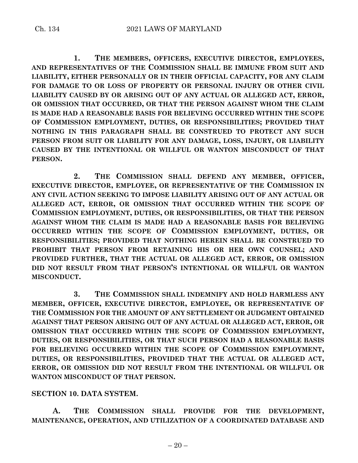**1. THE MEMBERS, OFFICERS, EXECUTIVE DIRECTOR, EMPLOYEES, AND REPRESENTATIVES OF THE COMMISSION SHALL BE IMMUNE FROM SUIT AND LIABILITY, EITHER PERSONALLY OR IN THEIR OFFICIAL CAPACITY, FOR ANY CLAIM FOR DAMAGE TO OR LOSS OF PROPERTY OR PERSONAL INJURY OR OTHER CIVIL LIABILITY CAUSED BY OR ARISING OUT OF ANY ACTUAL OR ALLEGED ACT, ERROR, OR OMISSION THAT OCCURRED, OR THAT THE PERSON AGAINST WHOM THE CLAIM IS MADE HAD A REASONABLE BASIS FOR BELIEVING OCCURRED WITHIN THE SCOPE OF COMMISSION EMPLOYMENT, DUTIES, OR RESPONSIBILITIES; PROVIDED THAT NOTHING IN THIS PARAGRAPH SHALL BE CONSTRUED TO PROTECT ANY SUCH PERSON FROM SUIT OR LIABILITY FOR ANY DAMAGE, LOSS, INJURY, OR LIABILITY CAUSED BY THE INTENTIONAL OR WILLFUL OR WANTON MISCONDUCT OF THAT PERSON.**

**2. THE COMMISSION SHALL DEFEND ANY MEMBER, OFFICER, EXECUTIVE DIRECTOR, EMPLOYEE, OR REPRESENTATIVE OF THE COMMISSION IN ANY CIVIL ACTION SEEKING TO IMPOSE LIABILITY ARISING OUT OF ANY ACTUAL OR ALLEGED ACT, ERROR, OR OMISSION THAT OCCURRED WITHIN THE SCOPE OF COMMISSION EMPLOYMENT, DUTIES, OR RESPONSIBILITIES, OR THAT THE PERSON AGAINST WHOM THE CLAIM IS MADE HAD A REASONABLE BASIS FOR BELIEVING OCCURRED WITHIN THE SCOPE OF COMMISSION EMPLOYMENT, DUTIES, OR RESPONSIBILITIES; PROVIDED THAT NOTHING HEREIN SHALL BE CONSTRUED TO PROHIBIT THAT PERSON FROM RETAINING HIS OR HER OWN COUNSEL; AND PROVIDED FURTHER, THAT THE ACTUAL OR ALLEGED ACT, ERROR, OR OMISSION DID NOT RESULT FROM THAT PERSON'S INTENTIONAL OR WILLFUL OR WANTON MISCONDUCT.**

**3. THE COMMISSION SHALL INDEMNIFY AND HOLD HARMLESS ANY MEMBER, OFFICER, EXECUTIVE DIRECTOR, EMPLOYEE, OR REPRESENTATIVE OF THE COMMISSION FOR THE AMOUNT OF ANY SETTLEMENT OR JUDGMENT OBTAINED AGAINST THAT PERSON ARISING OUT OF ANY ACTUAL OR ALLEGED ACT, ERROR, OR OMISSION THAT OCCURRED WITHIN THE SCOPE OF COMMISSION EMPLOYMENT, DUTIES, OR RESPONSIBILITIES, OR THAT SUCH PERSON HAD A REASONABLE BASIS FOR BELIEVING OCCURRED WITHIN THE SCOPE OF COMMISSION EMPLOYMENT, DUTIES, OR RESPONSIBILITIES, PROVIDED THAT THE ACTUAL OR ALLEGED ACT, ERROR, OR OMISSION DID NOT RESULT FROM THE INTENTIONAL OR WILLFUL OR WANTON MISCONDUCT OF THAT PERSON.**

### **SECTION 10. DATA SYSTEM.**

**A. THE COMMISSION SHALL PROVIDE FOR THE DEVELOPMENT, MAINTENANCE, OPERATION, AND UTILIZATION OF A COORDINATED DATABASE AND**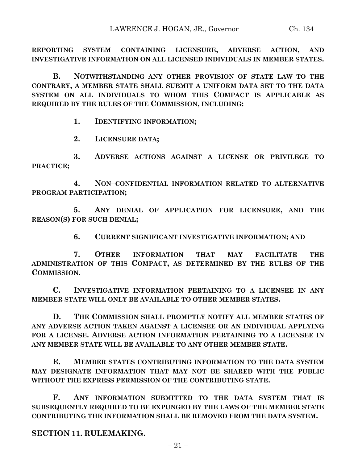**REPORTING SYSTEM CONTAINING LICENSURE, ADVERSE ACTION, AND INVESTIGATIVE INFORMATION ON ALL LICENSED INDIVIDUALS IN MEMBER STATES.**

**B. NOTWITHSTANDING ANY OTHER PROVISION OF STATE LAW TO THE CONTRARY, A MEMBER STATE SHALL SUBMIT A UNIFORM DATA SET TO THE DATA SYSTEM ON ALL INDIVIDUALS TO WHOM THIS COMPACT IS APPLICABLE AS REQUIRED BY THE RULES OF THE COMMISSION, INCLUDING:**

**1. IDENTIFYING INFORMATION;**

**2. LICENSURE DATA;**

**3. ADVERSE ACTIONS AGAINST A LICENSE OR PRIVILEGE TO PRACTICE;**

**4. NON–CONFIDENTIAL INFORMATION RELATED TO ALTERNATIVE PROGRAM PARTICIPATION;**

**5. ANY DENIAL OF APPLICATION FOR LICENSURE, AND THE REASON(S) FOR SUCH DENIAL;**

**6. CURRENT SIGNIFICANT INVESTIGATIVE INFORMATION; AND**

**7. OTHER INFORMATION THAT MAY FACILITATE THE ADMINISTRATION OF THIS COMPACT, AS DETERMINED BY THE RULES OF THE COMMISSION.**

**C. INVESTIGATIVE INFORMATION PERTAINING TO A LICENSEE IN ANY MEMBER STATE WILL ONLY BE AVAILABLE TO OTHER MEMBER STATES.**

**D. THE COMMISSION SHALL PROMPTLY NOTIFY ALL MEMBER STATES OF ANY ADVERSE ACTION TAKEN AGAINST A LICENSEE OR AN INDIVIDUAL APPLYING FOR A LICENSE. ADVERSE ACTION INFORMATION PERTAINING TO A LICENSEE IN ANY MEMBER STATE WILL BE AVAILABLE TO ANY OTHER MEMBER STATE.**

**E. MEMBER STATES CONTRIBUTING INFORMATION TO THE DATA SYSTEM MAY DESIGNATE INFORMATION THAT MAY NOT BE SHARED WITH THE PUBLIC WITHOUT THE EXPRESS PERMISSION OF THE CONTRIBUTING STATE.**

**F. ANY INFORMATION SUBMITTED TO THE DATA SYSTEM THAT IS SUBSEQUENTLY REQUIRED TO BE EXPUNGED BY THE LAWS OF THE MEMBER STATE CONTRIBUTING THE INFORMATION SHALL BE REMOVED FROM THE DATA SYSTEM.**

**SECTION 11. RULEMAKING.**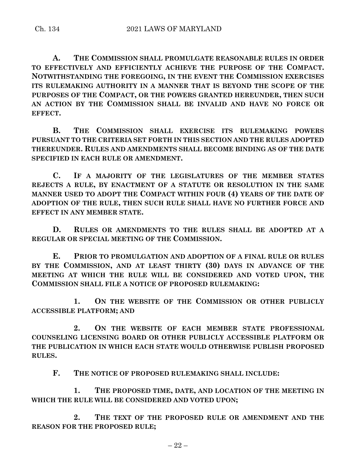**A. THE COMMISSION SHALL PROMULGATE REASONABLE RULES IN ORDER TO EFFECTIVELY AND EFFICIENTLY ACHIEVE THE PURPOSE OF THE COMPACT. NOTWITHSTANDING THE FOREGOING, IN THE EVENT THE COMMISSION EXERCISES ITS RULEMAKING AUTHORITY IN A MANNER THAT IS BEYOND THE SCOPE OF THE PURPOSES OF THE COMPACT, OR THE POWERS GRANTED HEREUNDER, THEN SUCH AN ACTION BY THE COMMISSION SHALL BE INVALID AND HAVE NO FORCE OR EFFECT.**

**B. THE COMMISSION SHALL EXERCISE ITS RULEMAKING POWERS PURSUANT TO THE CRITERIA SET FORTH IN THIS SECTION AND THE RULES ADOPTED THEREUNDER. RULES AND AMENDMENTS SHALL BECOME BINDING AS OF THE DATE SPECIFIED IN EACH RULE OR AMENDMENT.**

**C. IF A MAJORITY OF THE LEGISLATURES OF THE MEMBER STATES REJECTS A RULE, BY ENACTMENT OF A STATUTE OR RESOLUTION IN THE SAME MANNER USED TO ADOPT THE COMPACT WITHIN FOUR (4) YEARS OF THE DATE OF ADOPTION OF THE RULE, THEN SUCH RULE SHALL HAVE NO FURTHER FORCE AND EFFECT IN ANY MEMBER STATE.**

**D. RULES OR AMENDMENTS TO THE RULES SHALL BE ADOPTED AT A REGULAR OR SPECIAL MEETING OF THE COMMISSION.**

**E. PRIOR TO PROMULGATION AND ADOPTION OF A FINAL RULE OR RULES BY THE COMMISSION, AND AT LEAST THIRTY (30) DAYS IN ADVANCE OF THE MEETING AT WHICH THE RULE WILL BE CONSIDERED AND VOTED UPON, THE COMMISSION SHALL FILE A NOTICE OF PROPOSED RULEMAKING:**

**1. ON THE WEBSITE OF THE COMMISSION OR OTHER PUBLICLY ACCESSIBLE PLATFORM; AND** 

**2. ON THE WEBSITE OF EACH MEMBER STATE PROFESSIONAL COUNSELING LICENSING BOARD OR OTHER PUBLICLY ACCESSIBLE PLATFORM OR THE PUBLICATION IN WHICH EACH STATE WOULD OTHERWISE PUBLISH PROPOSED RULES.**

**F. THE NOTICE OF PROPOSED RULEMAKING SHALL INCLUDE:**

**1. THE PROPOSED TIME, DATE, AND LOCATION OF THE MEETING IN WHICH THE RULE WILL BE CONSIDERED AND VOTED UPON;**

**2. THE TEXT OF THE PROPOSED RULE OR AMENDMENT AND THE REASON FOR THE PROPOSED RULE;**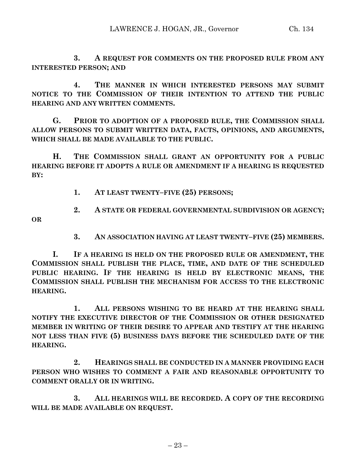**3. A REQUEST FOR COMMENTS ON THE PROPOSED RULE FROM ANY INTERESTED PERSON; AND** 

**4. THE MANNER IN WHICH INTERESTED PERSONS MAY SUBMIT NOTICE TO THE COMMISSION OF THEIR INTENTION TO ATTEND THE PUBLIC HEARING AND ANY WRITTEN COMMENTS.**

**G. PRIOR TO ADOPTION OF A PROPOSED RULE, THE COMMISSION SHALL ALLOW PERSONS TO SUBMIT WRITTEN DATA, FACTS, OPINIONS, AND ARGUMENTS, WHICH SHALL BE MADE AVAILABLE TO THE PUBLIC.**

**H. THE COMMISSION SHALL GRANT AN OPPORTUNITY FOR A PUBLIC HEARING BEFORE IT ADOPTS A RULE OR AMENDMENT IF A HEARING IS REQUESTED BY:**

- **1. AT LEAST TWENTY–FIVE (25) PERSONS;**
- **2. A STATE OR FEDERAL GOVERNMENTAL SUBDIVISION OR AGENCY;**

**OR** 

**3. AN ASSOCIATION HAVING AT LEAST TWENTY–FIVE (25) MEMBERS.**

**I. IF A HEARING IS HELD ON THE PROPOSED RULE OR AMENDMENT, THE COMMISSION SHALL PUBLISH THE PLACE, TIME, AND DATE OF THE SCHEDULED PUBLIC HEARING. IF THE HEARING IS HELD BY ELECTRONIC MEANS, THE COMMISSION SHALL PUBLISH THE MECHANISM FOR ACCESS TO THE ELECTRONIC HEARING.**

**1. ALL PERSONS WISHING TO BE HEARD AT THE HEARING SHALL NOTIFY THE EXECUTIVE DIRECTOR OF THE COMMISSION OR OTHER DESIGNATED MEMBER IN WRITING OF THEIR DESIRE TO APPEAR AND TESTIFY AT THE HEARING NOT LESS THAN FIVE (5) BUSINESS DAYS BEFORE THE SCHEDULED DATE OF THE HEARING.**

**2. HEARINGS SHALL BE CONDUCTED IN A MANNER PROVIDING EACH PERSON WHO WISHES TO COMMENT A FAIR AND REASONABLE OPPORTUNITY TO COMMENT ORALLY OR IN WRITING.**

**3. ALL HEARINGS WILL BE RECORDED. A COPY OF THE RECORDING WILL BE MADE AVAILABLE ON REQUEST.**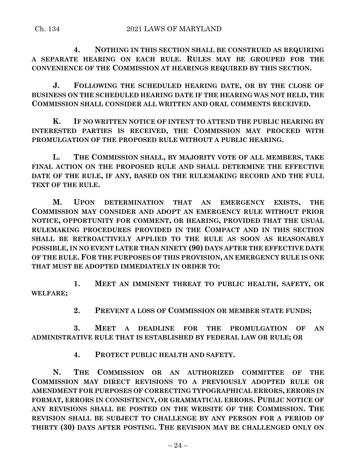**4. NOTHING IN THIS SECTION SHALL BE CONSTRUED AS REQUIRING A SEPARATE HEARING ON EACH RULE. RULES MAY BE GROUPED FOR THE CONVENIENCE OF THE COMMISSION AT HEARINGS REQUIRED BY THIS SECTION.**

**J. FOLLOWING THE SCHEDULED HEARING DATE, OR BY THE CLOSE OF BUSINESS ON THE SCHEDULED HEARING DATE IF THE HEARING WAS NOT HELD, THE COMMISSION SHALL CONSIDER ALL WRITTEN AND ORAL COMMENTS RECEIVED.**

**K. IF NO WRITTEN NOTICE OF INTENT TO ATTEND THE PUBLIC HEARING BY INTERESTED PARTIES IS RECEIVED, THE COMMISSION MAY PROCEED WITH PROMULGATION OF THE PROPOSED RULE WITHOUT A PUBLIC HEARING.**

**L. THE COMMISSION SHALL, BY MAJORITY VOTE OF ALL MEMBERS, TAKE FINAL ACTION ON THE PROPOSED RULE AND SHALL DETERMINE THE EFFECTIVE DATE OF THE RULE, IF ANY, BASED ON THE RULEMAKING RECORD AND THE FULL TEXT OF THE RULE.**

**M. UPON DETERMINATION THAT AN EMERGENCY EXISTS, THE COMMISSION MAY CONSIDER AND ADOPT AN EMERGENCY RULE WITHOUT PRIOR NOTICE, OPPORTUNITY FOR COMMENT, OR HEARING, PROVIDED THAT THE USUAL RULEMAKING PROCEDURES PROVIDED IN THE COMPACT AND IN THIS SECTION SHALL BE RETROACTIVELY APPLIED TO THE RULE AS SOON AS REASONABLY POSSIBLE, IN NO EVENT LATER THAN NINETY (90) DAYS AFTER THE EFFECTIVE DATE OF THE RULE. FOR THE PURPOSES OF THIS PROVISION, AN EMERGENCY RULE IS ONE THAT MUST BE ADOPTED IMMEDIATELY IN ORDER TO:**

**1. MEET AN IMMINENT THREAT TO PUBLIC HEALTH, SAFETY, OR WELFARE;**

**2. PREVENT A LOSS OF COMMISSION OR MEMBER STATE FUNDS;**

**3. MEET A DEADLINE FOR THE PROMULGATION OF AN ADMINISTRATIVE RULE THAT IS ESTABLISHED BY FEDERAL LAW OR RULE; OR** 

**4. PROTECT PUBLIC HEALTH AND SAFETY.**

**N. THE COMMISSION OR AN AUTHORIZED COMMITTEE OF THE COMMISSION MAY DIRECT REVISIONS TO A PREVIOUSLY ADOPTED RULE OR AMENDMENT FOR PURPOSES OF CORRECTING TYPOGRAPHICAL ERRORS, ERRORS IN FORMAT, ERRORS IN CONSISTENCY, OR GRAMMATICAL ERRORS. PUBLIC NOTICE OF ANY REVISIONS SHALL BE POSTED ON THE WEBSITE OF THE COMMISSION. THE REVISION SHALL BE SUBJECT TO CHALLENGE BY ANY PERSON FOR A PERIOD OF THIRTY (30) DAYS AFTER POSTING. THE REVISION MAY BE CHALLENGED ONLY ON**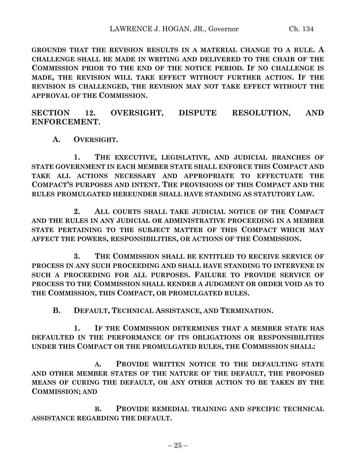**GROUNDS THAT THE REVISION RESULTS IN A MATERIAL CHANGE TO A RULE. A CHALLENGE SHALL BE MADE IN WRITING AND DELIVERED TO THE CHAIR OF THE COMMISSION PRIOR TO THE END OF THE NOTICE PERIOD. IF NO CHALLENGE IS MADE, THE REVISION WILL TAKE EFFECT WITHOUT FURTHER ACTION. IF THE REVISION IS CHALLENGED, THE REVISION MAY NOT TAKE EFFECT WITHOUT THE APPROVAL OF THE COMMISSION.**

**SECTION 12. OVERSIGHT, DISPUTE RESOLUTION, AND ENFORCEMENT.**

**A. OVERSIGHT.**

**1. THE EXECUTIVE, LEGISLATIVE, AND JUDICIAL BRANCHES OF STATE GOVERNMENT IN EACH MEMBER STATE SHALL ENFORCE THIS COMPACT AND TAKE ALL ACTIONS NECESSARY AND APPROPRIATE TO EFFECTUATE THE COMPACT'S PURPOSES AND INTENT. THE PROVISIONS OF THIS COMPACT AND THE RULES PROMULGATED HEREUNDER SHALL HAVE STANDING AS STATUTORY LAW.**

**2. ALL COURTS SHALL TAKE JUDICIAL NOTICE OF THE COMPACT AND THE RULES IN ANY JUDICIAL OR ADMINISTRATIVE PROCEEDING IN A MEMBER STATE PERTAINING TO THE SUBJECT MATTER OF THIS COMPACT WHICH MAY AFFECT THE POWERS, RESPONSIBILITIES, OR ACTIONS OF THE COMMISSION.**

**3. THE COMMISSION SHALL BE ENTITLED TO RECEIVE SERVICE OF PROCESS IN ANY SUCH PROCEEDING AND SHALL HAVE STANDING TO INTERVENE IN SUCH A PROCEEDING FOR ALL PURPOSES. FAILURE TO PROVIDE SERVICE OF PROCESS TO THE COMMISSION SHALL RENDER A JUDGMENT OR ORDER VOID AS TO THE COMMISSION, THIS COMPACT, OR PROMULGATED RULES.**

**B. DEFAULT, TECHNICAL ASSISTANCE, AND TERMINATION.**

**1. IF THE COMMISSION DETERMINES THAT A MEMBER STATE HAS DEFAULTED IN THE PERFORMANCE OF ITS OBLIGATIONS OR RESPONSIBILITIES UNDER THIS COMPACT OR THE PROMULGATED RULES, THE COMMISSION SHALL:**

**A. PROVIDE WRITTEN NOTICE TO THE DEFAULTING STATE AND OTHER MEMBER STATES OF THE NATURE OF THE DEFAULT, THE PROPOSED MEANS OF CURING THE DEFAULT, OR ANY OTHER ACTION TO BE TAKEN BY THE COMMISSION; AND** 

**B. PROVIDE REMEDIAL TRAINING AND SPECIFIC TECHNICAL ASSISTANCE REGARDING THE DEFAULT.**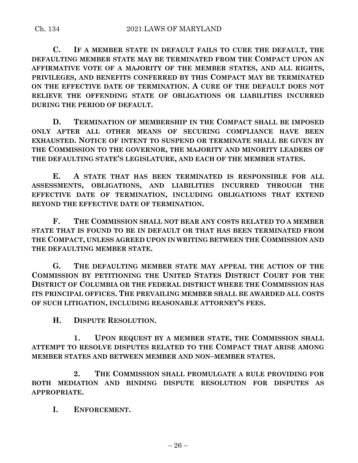**C. IF A MEMBER STATE IN DEFAULT FAILS TO CURE THE DEFAULT, THE DEFAULTING MEMBER STATE MAY BE TERMINATED FROM THE COMPACT UPON AN AFFIRMATIVE VOTE OF A MAJORITY OF THE MEMBER STATES, AND ALL RIGHTS, PRIVILEGES, AND BENEFITS CONFERRED BY THIS COMPACT MAY BE TERMINATED ON THE EFFECTIVE DATE OF TERMINATION. A CURE OF THE DEFAULT DOES NOT RELIEVE THE OFFENDING STATE OF OBLIGATIONS OR LIABILITIES INCURRED DURING THE PERIOD OF DEFAULT.**

**D. TERMINATION OF MEMBERSHIP IN THE COMPACT SHALL BE IMPOSED ONLY AFTER ALL OTHER MEANS OF SECURING COMPLIANCE HAVE BEEN EXHAUSTED. NOTICE OF INTENT TO SUSPEND OR TERMINATE SHALL BE GIVEN BY THE COMMISSION TO THE GOVERNOR, THE MAJORITY AND MINORITY LEADERS OF THE DEFAULTING STATE'S LEGISLATURE, AND EACH OF THE MEMBER STATES.**

**E. A STATE THAT HAS BEEN TERMINATED IS RESPONSIBLE FOR ALL ASSESSMENTS, OBLIGATIONS, AND LIABILITIES INCURRED THROUGH THE EFFECTIVE DATE OF TERMINATION, INCLUDING OBLIGATIONS THAT EXTEND BEYOND THE EFFECTIVE DATE OF TERMINATION.**

**F. THE COMMISSION SHALL NOT BEAR ANY COSTS RELATED TO A MEMBER STATE THAT IS FOUND TO BE IN DEFAULT OR THAT HAS BEEN TERMINATED FROM THE COMPACT, UNLESS AGREED UPON IN WRITING BETWEEN THE COMMISSION AND THE DEFAULTING MEMBER STATE.**

**G. THE DEFAULTING MEMBER STATE MAY APPEAL THE ACTION OF THE COMMISSION BY PETITIONING THE UNITED STATES DISTRICT COURT FOR THE DISTRICT OF COLUMBIA OR THE FEDERAL DISTRICT WHERE THE COMMISSION HAS ITS PRINCIPAL OFFICES. THE PREVAILING MEMBER SHALL BE AWARDED ALL COSTS OF SUCH LITIGATION, INCLUDING REASONABLE ATTORNEY'S FEES.**

**H. DISPUTE RESOLUTION.**

**1. UPON REQUEST BY A MEMBER STATE, THE COMMISSION SHALL ATTEMPT TO RESOLVE DISPUTES RELATED TO THE COMPACT THAT ARISE AMONG MEMBER STATES AND BETWEEN MEMBER AND NON–MEMBER STATES.**

**2. THE COMMISSION SHALL PROMULGATE A RULE PROVIDING FOR BOTH MEDIATION AND BINDING DISPUTE RESOLUTION FOR DISPUTES AS APPROPRIATE.**

**I. ENFORCEMENT.**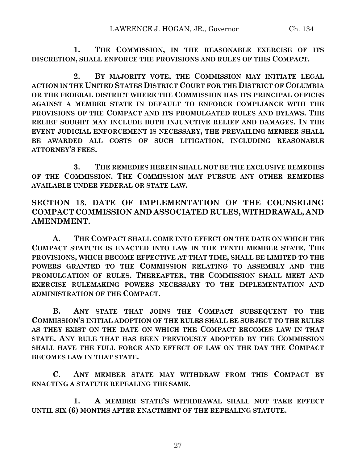**1. THE COMMISSION, IN THE REASONABLE EXERCISE OF ITS DISCRETION, SHALL ENFORCE THE PROVISIONS AND RULES OF THIS COMPACT.**

**2. BY MAJORITY VOTE, THE COMMISSION MAY INITIATE LEGAL ACTION IN THE UNITED STATES DISTRICT COURT FOR THE DISTRICT OF COLUMBIA OR THE FEDERAL DISTRICT WHERE THE COMMISSION HAS ITS PRINCIPAL OFFICES AGAINST A MEMBER STATE IN DEFAULT TO ENFORCE COMPLIANCE WITH THE PROVISIONS OF THE COMPACT AND ITS PROMULGATED RULES AND BYLAWS. THE RELIEF SOUGHT MAY INCLUDE BOTH INJUNCTIVE RELIEF AND DAMAGES. IN THE EVENT JUDICIAL ENFORCEMENT IS NECESSARY, THE PREVAILING MEMBER SHALL BE AWARDED ALL COSTS OF SUCH LITIGATION, INCLUDING REASONABLE ATTORNEY'S FEES.**

**3. THE REMEDIES HEREIN SHALL NOT BE THE EXCLUSIVE REMEDIES OF THE COMMISSION. THE COMMISSION MAY PURSUE ANY OTHER REMEDIES AVAILABLE UNDER FEDERAL OR STATE LAW.**

**SECTION 13. DATE OF IMPLEMENTATION OF THE COUNSELING COMPACT COMMISSION AND ASSOCIATED RULES, WITHDRAWAL, AND AMENDMENT.**

**A. THE COMPACT SHALL COME INTO EFFECT ON THE DATE ON WHICH THE COMPACT STATUTE IS ENACTED INTO LAW IN THE TENTH MEMBER STATE. THE PROVISIONS, WHICH BECOME EFFECTIVE AT THAT TIME, SHALL BE LIMITED TO THE POWERS GRANTED TO THE COMMISSION RELATING TO ASSEMBLY AND THE PROMULGATION OF RULES. THEREAFTER, THE COMMISSION SHALL MEET AND EXERCISE RULEMAKING POWERS NECESSARY TO THE IMPLEMENTATION AND ADMINISTRATION OF THE COMPACT.**

**B. ANY STATE THAT JOINS THE COMPACT SUBSEQUENT TO THE COMMISSION'S INITIAL ADOPTION OF THE RULES SHALL BE SUBJECT TO THE RULES AS THEY EXIST ON THE DATE ON WHICH THE COMPACT BECOMES LAW IN THAT STATE. ANY RULE THAT HAS BEEN PREVIOUSLY ADOPTED BY THE COMMISSION SHALL HAVE THE FULL FORCE AND EFFECT OF LAW ON THE DAY THE COMPACT BECOMES LAW IN THAT STATE.**

**C. ANY MEMBER STATE MAY WITHDRAW FROM THIS COMPACT BY ENACTING A STATUTE REPEALING THE SAME.**

**1. A MEMBER STATE'S WITHDRAWAL SHALL NOT TAKE EFFECT UNTIL SIX (6) MONTHS AFTER ENACTMENT OF THE REPEALING STATUTE.**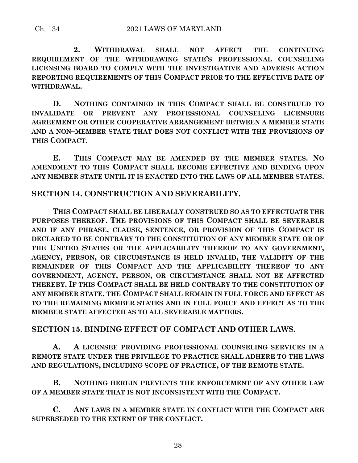**2. WITHDRAWAL SHALL NOT AFFECT THE CONTINUING REQUIREMENT OF THE WITHDRAWING STATE'S PROFESSIONAL COUNSELING LICENSING BOARD TO COMPLY WITH THE INVESTIGATIVE AND ADVERSE ACTION REPORTING REQUIREMENTS OF THIS COMPACT PRIOR TO THE EFFECTIVE DATE OF WITHDRAWAL.**

**D. NOTHING CONTAINED IN THIS COMPACT SHALL BE CONSTRUED TO INVALIDATE OR PREVENT ANY PROFESSIONAL COUNSELING LICENSURE AGREEMENT OR OTHER COOPERATIVE ARRANGEMENT BETWEEN A MEMBER STATE AND A NON–MEMBER STATE THAT DOES NOT CONFLICT WITH THE PROVISIONS OF THIS COMPACT.**

**E. THIS COMPACT MAY BE AMENDED BY THE MEMBER STATES. NO AMENDMENT TO THIS COMPACT SHALL BECOME EFFECTIVE AND BINDING UPON ANY MEMBER STATE UNTIL IT IS ENACTED INTO THE LAWS OF ALL MEMBER STATES.**

# **SECTION 14. CONSTRUCTION AND SEVERABILITY.**

**THIS COMPACT SHALL BE LIBERALLY CONSTRUED SO AS TO EFFECTUATE THE PURPOSES THEREOF. THE PROVISIONS OF THIS COMPACT SHALL BE SEVERABLE AND IF ANY PHRASE, CLAUSE, SENTENCE, OR PROVISION OF THIS COMPACT IS DECLARED TO BE CONTRARY TO THE CONSTITUTION OF ANY MEMBER STATE OR OF THE UNITED STATES OR THE APPLICABILITY THEREOF TO ANY GOVERNMENT, AGENCY, PERSON, OR CIRCUMSTANCE IS HELD INVALID, THE VALIDITY OF THE REMAINDER OF THIS COMPACT AND THE APPLICABILITY THEREOF TO ANY GOVERNMENT, AGENCY, PERSON, OR CIRCUMSTANCE SHALL NOT BE AFFECTED THEREBY. IF THIS COMPACT SHALL BE HELD CONTRARY TO THE CONSTITUTION OF ANY MEMBER STATE, THE COMPACT SHALL REMAIN IN FULL FORCE AND EFFECT AS TO THE REMAINING MEMBER STATES AND IN FULL FORCE AND EFFECT AS TO THE MEMBER STATE AFFECTED AS TO ALL SEVERABLE MATTERS.**

### **SECTION 15. BINDING EFFECT OF COMPACT AND OTHER LAWS.**

**A. A LICENSEE PROVIDING PROFESSIONAL COUNSELING SERVICES IN A REMOTE STATE UNDER THE PRIVILEGE TO PRACTICE SHALL ADHERE TO THE LAWS AND REGULATIONS, INCLUDING SCOPE OF PRACTICE, OF THE REMOTE STATE.**

**B. NOTHING HEREIN PREVENTS THE ENFORCEMENT OF ANY OTHER LAW OF A MEMBER STATE THAT IS NOT INCONSISTENT WITH THE COMPACT.**

**C. ANY LAWS IN A MEMBER STATE IN CONFLICT WITH THE COMPACT ARE SUPERSEDED TO THE EXTENT OF THE CONFLICT.**